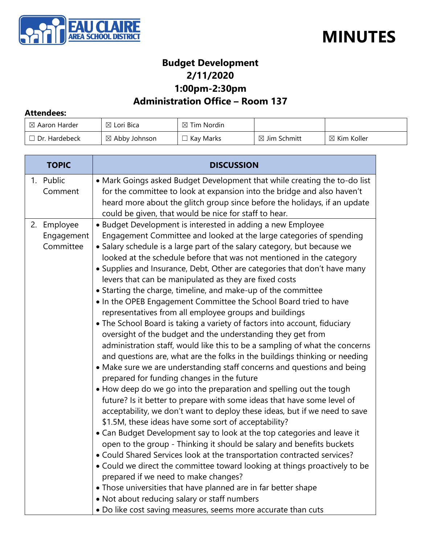



## **Budget Development 2/11/2020 1:00pm-2:30pm**

## **Administration Office – Room 137**

#### **Attendees:**

| $\boxtimes$ Aaron Harder | $\boxtimes$ Lori Bica    | $\boxtimes$ Tim Nordin |                         |                        |
|--------------------------|--------------------------|------------------------|-------------------------|------------------------|
| $\Box$ Dr. Hardebeck     | $\boxtimes$ Abby Johnson | Kay Marks              | $\boxtimes$ Jim Schmitt | $\boxtimes$ Kim Koller |

| <b>TOPIC</b>                           | <b>DISCUSSION</b>                                                                                                                                                                                                                                                                                                                                                                                                                                                                                                                                                                                                                                                                                                                                                                                                                                                                                                                                                                                                                                                                                                                                                                                                                                                                                                                                                                                                                                                                                                                                                                                                                                                                                                                                                                                                                                                                               |  |
|----------------------------------------|-------------------------------------------------------------------------------------------------------------------------------------------------------------------------------------------------------------------------------------------------------------------------------------------------------------------------------------------------------------------------------------------------------------------------------------------------------------------------------------------------------------------------------------------------------------------------------------------------------------------------------------------------------------------------------------------------------------------------------------------------------------------------------------------------------------------------------------------------------------------------------------------------------------------------------------------------------------------------------------------------------------------------------------------------------------------------------------------------------------------------------------------------------------------------------------------------------------------------------------------------------------------------------------------------------------------------------------------------------------------------------------------------------------------------------------------------------------------------------------------------------------------------------------------------------------------------------------------------------------------------------------------------------------------------------------------------------------------------------------------------------------------------------------------------------------------------------------------------------------------------------------------------|--|
| 1. Public<br>Comment                   | • Mark Goings asked Budget Development that while creating the to-do list<br>for the committee to look at expansion into the bridge and also haven't<br>heard more about the glitch group since before the holidays, if an update<br>could be given, that would be nice for staff to hear.                                                                                                                                                                                                                                                                                                                                                                                                                                                                                                                                                                                                                                                                                                                                                                                                                                                                                                                                                                                                                                                                                                                                                                                                                                                                                                                                                                                                                                                                                                                                                                                                      |  |
| 2. Employee<br>Engagement<br>Committee | • Budget Development is interested in adding a new Employee<br>Engagement Committee and looked at the large categories of spending<br>• Salary schedule is a large part of the salary category, but because we<br>looked at the schedule before that was not mentioned in the category<br>• Supplies and Insurance, Debt, Other are categories that don't have many<br>levers that can be manipulated as they are fixed costs<br>• Starting the charge, timeline, and make-up of the committee<br>• In the OPEB Engagement Committee the School Board tried to have<br>representatives from all employee groups and buildings<br>• The School Board is taking a variety of factors into account, fiduciary<br>oversight of the budget and the understanding they get from<br>administration staff, would like this to be a sampling of what the concerns<br>and questions are, what are the folks in the buildings thinking or needing<br>• Make sure we are understanding staff concerns and questions and being<br>prepared for funding changes in the future<br>• How deep do we go into the preparation and spelling out the tough<br>future? Is it better to prepare with some ideas that have some level of<br>acceptability, we don't want to deploy these ideas, but if we need to save<br>\$1.5M, these ideas have some sort of acceptability?<br>• Can Budget Development say to look at the top categories and leave it<br>open to the group - Thinking it should be salary and benefits buckets<br>• Could Shared Services look at the transportation contracted services?<br>• Could we direct the committee toward looking at things proactively to be<br>prepared if we need to make changes?<br>• Those universities that have planned are in far better shape<br>• Not about reducing salary or staff numbers<br>. Do like cost saving measures, seems more accurate than cuts |  |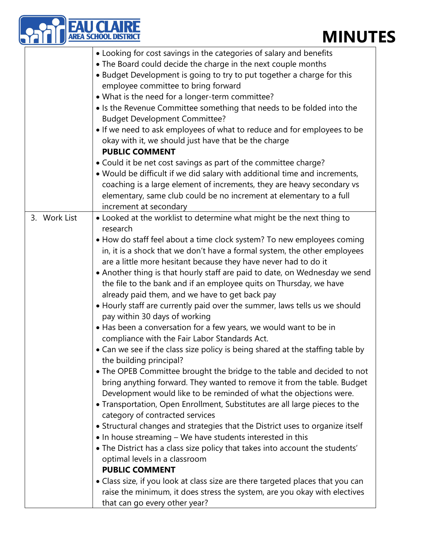# **MINUTES**

|              | <b>AREA SCHOOL</b><br><b>MINU</b>                                                                                                                                                                                                                                                                                                                                                                                                                                                                                                                                                                                                                                                                                                                                                                                                                                                                                                                                                                                                                                                                                                                                                                                                                                                                                                                                                                                                                                                                                                                                                                                                                                                                          |
|--------------|------------------------------------------------------------------------------------------------------------------------------------------------------------------------------------------------------------------------------------------------------------------------------------------------------------------------------------------------------------------------------------------------------------------------------------------------------------------------------------------------------------------------------------------------------------------------------------------------------------------------------------------------------------------------------------------------------------------------------------------------------------------------------------------------------------------------------------------------------------------------------------------------------------------------------------------------------------------------------------------------------------------------------------------------------------------------------------------------------------------------------------------------------------------------------------------------------------------------------------------------------------------------------------------------------------------------------------------------------------------------------------------------------------------------------------------------------------------------------------------------------------------------------------------------------------------------------------------------------------------------------------------------------------------------------------------------------------|
|              | • Looking for cost savings in the categories of salary and benefits<br>• The Board could decide the charge in the next couple months<br>• Budget Development is going to try to put together a charge for this<br>employee committee to bring forward<br>• What is the need for a longer-term committee?<br>• Is the Revenue Committee something that needs to be folded into the<br><b>Budget Development Committee?</b><br>• If we need to ask employees of what to reduce and for employees to be<br>okay with it, we should just have that be the charge<br><b>PUBLIC COMMENT</b><br>• Could it be net cost savings as part of the committee charge?<br>. Would be difficult if we did salary with additional time and increments,<br>coaching is a large element of increments, they are heavy secondary vs<br>elementary, same club could be no increment at elementary to a full<br>increment at secondary                                                                                                                                                                                                                                                                                                                                                                                                                                                                                                                                                                                                                                                                                                                                                                                          |
| 3. Work List | • Looked at the worklist to determine what might be the next thing to<br>research<br>• How do staff feel about a time clock system? To new employees coming<br>in, it is a shock that we don't have a formal system, the other employees<br>are a little more hesitant because they have never had to do it<br>• Another thing is that hourly staff are paid to date, on Wednesday we send<br>the file to the bank and if an employee quits on Thursday, we have<br>already paid them, and we have to get back pay<br>• Hourly staff are currently paid over the summer, laws tells us we should<br>pay within 30 days of working<br>• Has been a conversation for a few years, we would want to be in<br>compliance with the Fair Labor Standards Act.<br>• Can we see if the class size policy is being shared at the staffing table by<br>the building principal?<br>• The OPEB Committee brought the bridge to the table and decided to not<br>bring anything forward. They wanted to remove it from the table. Budget<br>Development would like to be reminded of what the objections were.<br>• Transportation, Open Enrollment, Substitutes are all large pieces to the<br>category of contracted services<br>• Structural changes and strategies that the District uses to organize itself<br>• In house streaming - We have students interested in this<br>• The District has a class size policy that takes into account the students'<br>optimal levels in a classroom<br><b>PUBLIC COMMENT</b><br>• Class size, if you look at class size are there targeted places that you can<br>raise the minimum, it does stress the system, are you okay with electives<br>that can go every other year? |